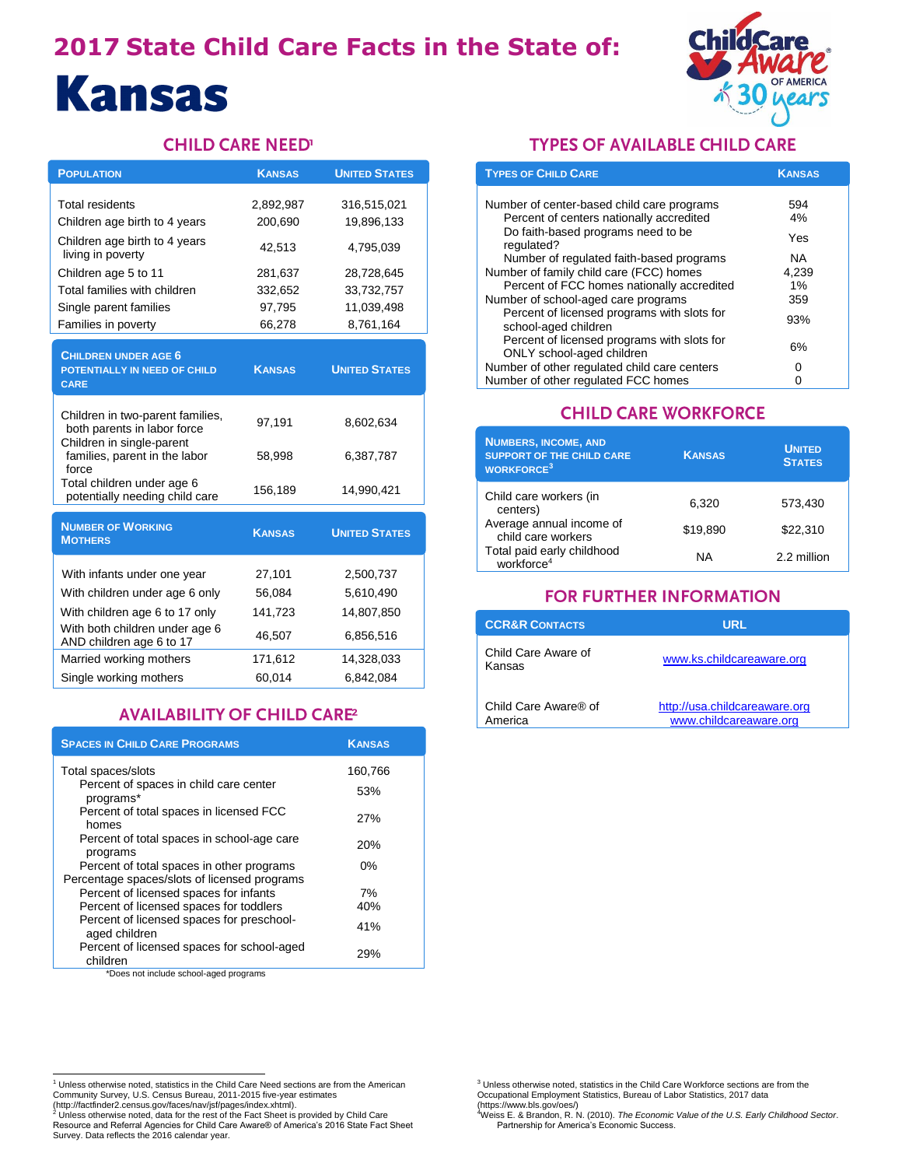# **2017 State Child Care Facts in the State of: Kansas**



#### **CHILD CARE NEED'**

| <b>POPULATION</b>                                                                            | <b>KANSAS</b> | <b>UNITED STATES</b> |
|----------------------------------------------------------------------------------------------|---------------|----------------------|
| Total residents                                                                              | 2,892,987     | 316,515,021          |
| Children age birth to 4 years                                                                | 200,690       | 19,896,133           |
| Children age birth to 4 years<br>living in poverty                                           | 42,513        | 4,795,039            |
| Children age 5 to 11                                                                         | 281,637       | 28,728,645           |
| Total families with children                                                                 | 332,652       | 33,732,757           |
| Single parent families                                                                       | 97,795        | 11,039,498           |
| Families in poverty                                                                          | 66,278        | 8,761,164            |
| <b>CHILDREN UNDER AGE 6</b><br>POTENTIALLY IN NEED OF CHILD<br><b>CARE</b>                   | <b>KANSAS</b> | <b>UNITED STATES</b> |
| Children in two-parent families,<br>both parents in labor force<br>Children in single-parent | 97,191        | 8,602,634            |
| families, parent in the labor<br>force<br>Total children under age 6                         | 58,998        | 6,387,787            |
| potentially needing child care                                                               | 156,189       | 14,990,421           |
| <b>NUMBER OF WORKING</b><br><b>MOTHERS</b>                                                   | <b>KANSAS</b> | <b>UNITED STATES</b> |
| With infants under one year                                                                  | 27,101        | 2,500,737            |
| With children under age 6 only                                                               | 56,084        | 5,610,490            |
| With children age 6 to 17 only                                                               | 141,723       | 14,807,850           |
| With both children under age 6<br>AND children age 6 to 17                                   | 46,507        | 6,856,516            |
| Married working mothers                                                                      | 171,612       | 14,328,033           |
| Single working mothers                                                                       | 60,014        | 6,842,084            |

### **AVAILABILITY OF CHILD CARE2**

| <b>SPACES IN CHILD CARE PROGRAMS</b>                                                             | <b>KANSAS</b> |
|--------------------------------------------------------------------------------------------------|---------------|
| Total spaces/slots                                                                               | 160,766       |
| Percent of spaces in child care center<br>programs*                                              | 53%           |
| Percent of total spaces in licensed FCC<br>homes                                                 | 27%           |
| Percent of total spaces in school-age care<br>programs                                           | <b>20%</b>    |
| Percent of total spaces in other programs<br>Percentage spaces/slots of licensed programs        | $0\%$         |
| Percent of licensed spaces for infants                                                           | 7%            |
| Percent of licensed spaces for toddlers                                                          | 40%           |
| Percent of licensed spaces for preschool-<br>aged children                                       | 41%           |
| Percent of licensed spaces for school-aged<br>children<br>*Does not include school-aged programs | 29%           |

 $\overline{\phantom{a}}$  not include school-aged program

#### **TYPES OF AVAILABLE CHILD CARE**

| <b>TYPES OF CHILD CARE</b>                                               | <b>KANSAS</b> |
|--------------------------------------------------------------------------|---------------|
|                                                                          |               |
| Number of center-based child care programs                               | 594           |
| Percent of centers nationally accredited                                 | 4%            |
| Do faith-based programs need to be<br>regulated?                         | Yes           |
| Number of regulated faith-based programs                                 | NA.           |
| Number of family child care (FCC) homes                                  | 4,239         |
| Percent of FCC homes nationally accredited                               | 1%            |
| Number of school-aged care programs                                      | 359           |
| Percent of licensed programs with slots for<br>school-aged children      | 93%           |
| Percent of licensed programs with slots for<br>ONLY school-aged children | 6%            |
| Number of other regulated child care centers                             | O             |
| Number of other regulated FCC homes                                      |               |

#### **CHILD CARE WORKFORCE**

| <b>NUMBERS, INCOME, AND</b><br><b>SUPPORT OF THE CHILD CARE</b><br><b>WORKFORCE<sup>3</sup></b> | <b>KANSAS</b> | <b>UNITED</b><br><b>STATES</b> |
|-------------------------------------------------------------------------------------------------|---------------|--------------------------------|
| Child care workers (in<br>centers)                                                              | 6.320         | 573.430                        |
| Average annual income of<br>child care workers                                                  | \$19,890      | \$22,310                       |
| Total paid early childhood<br>workforce <sup>4</sup>                                            | ΝA            | 2.2 million                    |

#### **FOR FURTHER INFORMATION**

| <b>CCR&amp;R CONTACTS</b>       | URL                                                     |
|---------------------------------|---------------------------------------------------------|
| Child Care Aware of<br>Kansas   | www.ks.childcareaware.org                               |
| Child Care Aware® of<br>America | http://usa.childcareaware.org<br>www.childcareaware.org |

<sup>4</sup>Weiss E. & Brandon, R. N. (2010). *The Economic Value of the U.S. Early Childhood Sector*. Partnership for America's Economic Success.

<sup>1&</sup>lt;br><sup>1</sup> Unless otherwise noted, statistics in the Child Care Need sections are from the American

Community Survey, U.S. Census Bureau, 2011-2015 five-year estimates<br>(http://factfinder2.census.gov/faces/nav/jsf/pages/index.xhtml).<br><sup>2</sup> Unless otherwise noted, data for the rest of the Fact Sheet is provided by Child Care

<sup>&</sup>lt;sup>3</sup> Unless otherwise noted, statistics in the Child Care Workforce sections are from the Occupational Employment Statistics, Bureau of Labor Statistics, 2017 data (https://www.bls.gov/oes/)